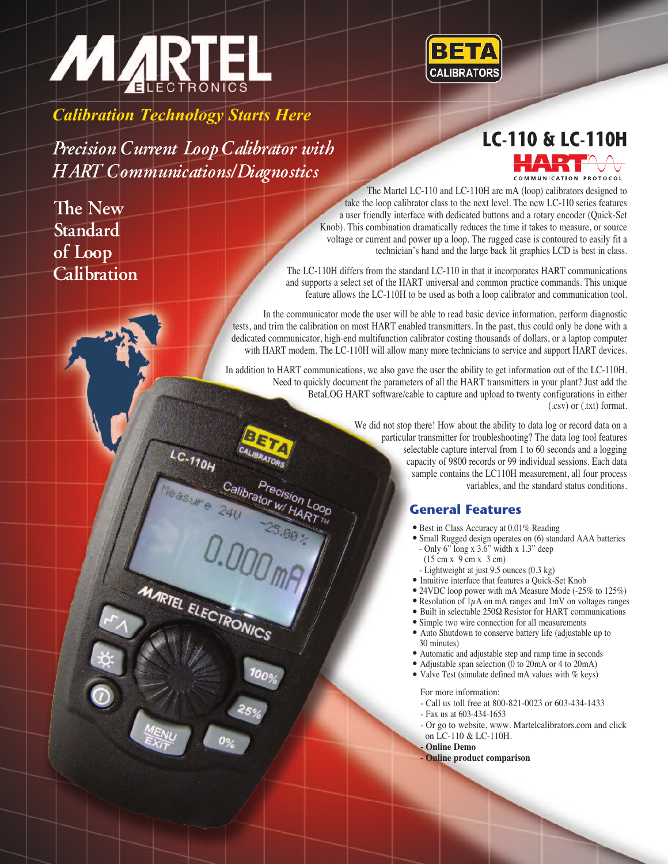



*Calibration Technology Starts Here*

**LC-110 & LC-110H** *Precision Current Loop Calibrator with HART Communications/Diagnostics*

 $L_{C-770H}$ 

MARTEL ELECTRONICS

Calibrator W

**The New Standard of Loop Calibration**

The Martel LC-110 and LC-110H are mA (loop) calibrators designed to take the loop calibrator class to the next level. The new LC-110 series features a user friendly interface with dedicated buttons and a rotary encoder (Quick-Set Knob). This combination dramatically reduces the time it takes to measure, or source voltage or current and power up a loop. The rugged case is contoured to easily fit a technician's hand and the large back lit graphics LCD is best in class.

The LC-110H differs from the standard LC-110 in that it incorporates HART communications and supports a select set of the HART universal and common practice commands. This unique feature allows the LC-110H to be used as both a loop calibrator and communication tool.

In the communicator mode the user will be able to read basic device information, perform diagnostic tests, and trim the calibration on most HART enabled transmitters. In the past, this could only be done with a dedicated communicator, high-end multifunction calibrator costing thousands of dollars, or a laptop computer with HART modem. The LC-110H will allow many more technicians to service and support HART devices.

In addition to HART communications, we also gave the user the ability to get information out of the LC-110H. Need to quickly document the parameters of all the HART transmitters in your plant? Just add the BetaLOG HART software/cable to capture and upload to twenty configurations in either (.csv) or (.txt) format.

> We did not stop there! How about the ability to data log or record data on a particular transmitter for troubleshooting? The data log tool features selectable capture interval from 1 to 60 seconds and a logging capacity of 9800 records or 99 individual sessions. Each data sample contains the LC110H measurement, all four process variables, and the standard status conditions.

## **General Features**

- 
- . Best in Class Accuracy at 0.01% Reading . Small Rugged design operates on (6) standard AAA batteries - Only 6" long x 3.6" width x 1.3" deep
	-
- (15 cm x 9 cm x 3 cm)<br>- Lightweight at just 9.5 ounces  $(0.3 \text{ kg})$
- 
- 
- 
- 
- 
- Intuitive interface that features a Quick-Set Knob<br>
24VDC loop power with mA Measure Mode (-25% to 125%)<br>
Resolution of 1µA on mA ranges and 1mV on voltages ranges<br>
Built in selectable 250 $\Omega$  Resistor for HART co
- Automatic and adjustable step and ramp time in seconds <br>• Adjustable span selection (0 to 20mA or 4 to 20mA) <br>• Valve Test (simulate defined mA values with % keys)
- 
- 

For more information:

- Call us toll free at 800-821-0023 or 603-434-1433
- Fax us at 603-434-1653
	- Or go to website, www. Martelcalibrators.com and click on LC-110 & LC-110H.
	- **- Online Demo**
	- **- Online product comparison**